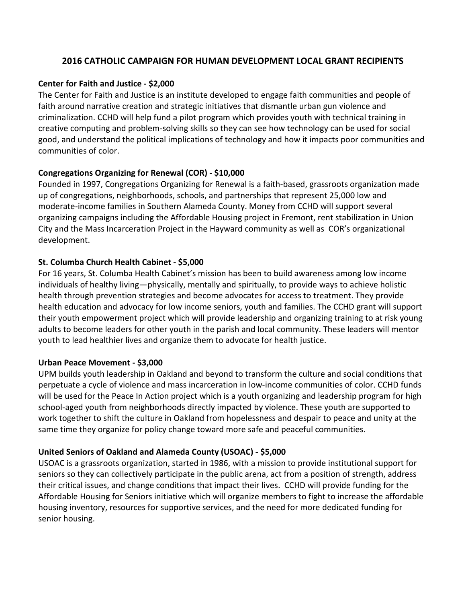# **2016 CATHOLIC CAMPAIGN FOR HUMAN DEVELOPMENT LOCAL GRANT RECIPIENTS**

## **Center for Faith and Justice - \$2,000**

The Center for Faith and Justice is an institute developed to engage faith communities and people of faith around narrative creation and strategic initiatives that dismantle urban gun violence and criminalization. CCHD will help fund a pilot program which provides youth with technical training in creative computing and problem-solving skills so they can see how technology can be used for social good, and understand the political implications of technology and how it impacts poor communities and communities of color.

# **Congregations Organizing for Renewal (COR) - \$10,000**

Founded in 1997, Congregations Organizing for Renewal is a faith-based, grassroots organization made up of congregations, neighborhoods, schools, and partnerships that represent 25,000 low and moderate-income families in Southern Alameda County. Money from CCHD will support several organizing campaigns including the Affordable Housing project in Fremont, rent stabilization in Union City and the Mass Incarceration Project in the Hayward community as well as COR's organizational development.

# **St. Columba Church Health Cabinet - \$5,000**

For 16 years, St. Columba Health Cabinet's mission has been to build awareness among low income individuals of healthy living—physically, mentally and spiritually, to provide ways to achieve holistic health through prevention strategies and become advocates for access to treatment. They provide health education and advocacy for low income seniors, youth and families. The CCHD grant will support their youth empowerment project which will provide leadership and organizing training to at risk young adults to become leaders for other youth in the parish and local community. These leaders will mentor youth to lead healthier lives and organize them to advocate for health justice.

# **Urban Peace Movement - \$3,000**

UPM builds youth leadership in Oakland and beyond to transform the culture and social conditions that perpetuate a cycle of violence and mass incarceration in low-income communities of color. CCHD funds will be used for the Peace In Action project which is a youth organizing and leadership program for high school-aged youth from neighborhoods directly impacted by violence. These youth are supported to work together to shift the culture in Oakland from hopelessness and despair to peace and unity at the same time they organize for policy change toward more safe and peaceful communities.

# **United Seniors of Oakland and Alameda County (USOAC) - \$5,000**

USOAC is a grassroots organization, started in 1986, with a mission to provide institutional support for seniors so they can collectively participate in the public arena, act from a position of strength, address their critical issues, and change conditions that impact their lives. CCHD will provide funding for the Affordable Housing for Seniors initiative which will organize members to fight to increase the affordable housing inventory, resources for supportive services, and the need for more dedicated funding for senior housing.